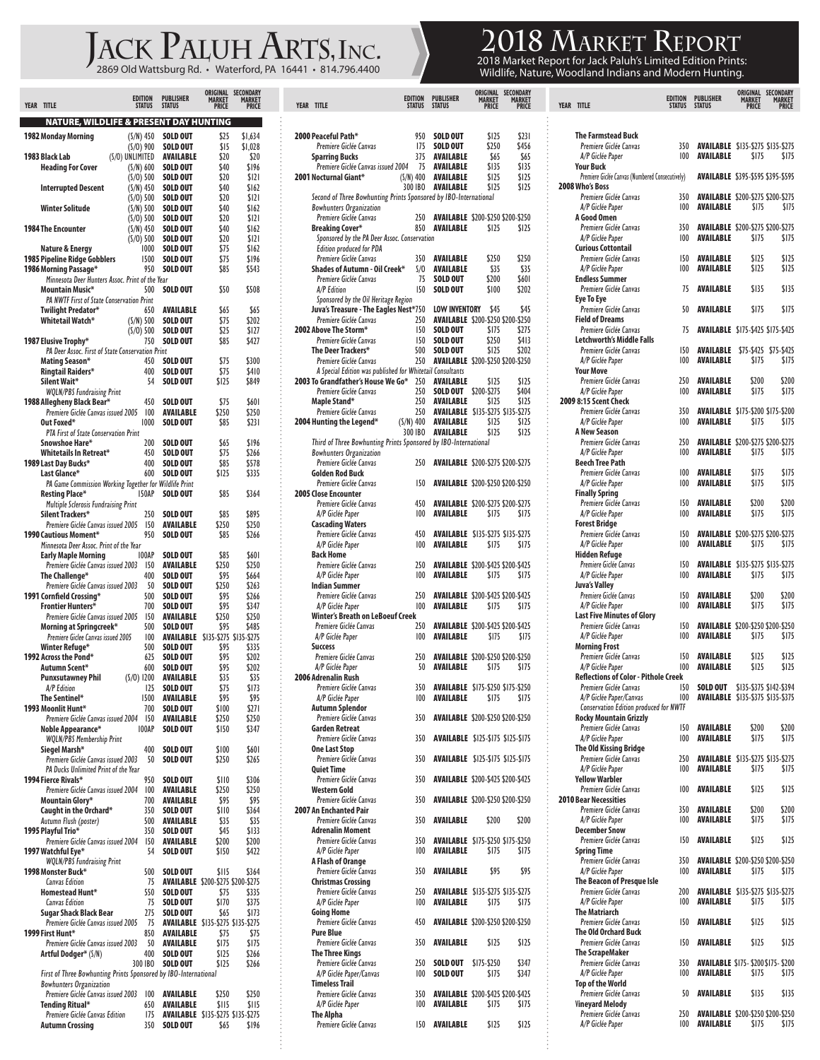## $J_{\tiny \textrm{2869 Old Wattsburg Rd.}$   $\leftarrow$  Waterford, PA 16441 • 814.796.4400  $2018 \, \mathrm{Mg}$   $2018 \, \mathrm{Mg}$   $2018 \, \mathrm{Mg}$

**2018 Market Report**

2018 Market Report for Jack Paluh's Limited Edition Prints:<br>Wildlife, Nature, Woodland Indians and Modern Hunting.

| <b>YEAR</b><br><b>TITLE</b>                                                                       | <b>EDITION</b><br><b>STATUS</b> | <b>PUBLISHER</b><br><b>STATUS</b>                    | ORIGINAL<br><b>MARKET</b><br>PRICE | SECONDARY<br>MARKET<br><b>PRICE</b> |
|---------------------------------------------------------------------------------------------------|---------------------------------|------------------------------------------------------|------------------------------------|-------------------------------------|
|                                                                                                   |                                 |                                                      |                                    |                                     |
| <b>NATURE, WILDLIFE &amp; PRESENT DAY HUNTING</b>                                                 |                                 | <b>SOLD OUT</b>                                      | \$25                               | \$1.634                             |
| 1982 Monday Morning                                                                               | $(S/N)$ 450<br>$(S/0)$ 900      | <b>SOLD OUT</b>                                      | \$15                               | \$1,028                             |
| 1983 Black Lab<br>(S/O) UNLIMITED                                                                 |                                 | AVAILABLE                                            | \$20                               | \$20                                |
| <b>Heading For Cover</b>                                                                          | $(S/N)$ 600<br>$(S/O)$ 500      | <b>SOLD OUT</b><br><b>SOLD OUT</b>                   | \$40<br>\$20                       | \$196<br>\$121                      |
| <b>Interrupted Descent</b>                                                                        | $(S/N)$ 450                     | <b>SOLD OUT</b>                                      | \$40                               | \$162                               |
|                                                                                                   | $(S/O)$ 500                     | <b>SOLD OUT</b>                                      | \$20                               | SI2I                                |
| <b>Winter Solitude</b>                                                                            | $(S/N)$ 500<br>$(S/O)$ 500      | <b>SOLD OUT</b><br><b>SOLD OUT</b>                   | \$40<br>\$20                       | \$162<br>\$121                      |
| 1984 The Encounter                                                                                | $(S/N)$ 450                     | <b>SOLD OUT</b>                                      | \$40                               | \$162                               |
|                                                                                                   | $(S/O)$ 500                     | <b>SOLD OUT</b>                                      | \$20                               | \$121                               |
| Nature & Energy<br>1985 Pipeline Ridge Gobblers                                                   | 1000<br>1500                    | <b>SOLD OUT</b><br><b>SOLD OUT</b>                   | \$75<br>\$75                       | \$162<br>\$196                      |
| 1986 Morning Passage*                                                                             | 950                             | <b>SOLD OUT</b>                                      | \$85                               | \$543                               |
| Minnesota Deer Hunters Assoc. Print of the Year<br>Mountain Music*                                | 500                             | <b>SOLD OUT</b>                                      | \$50                               | \$508                               |
| <b>PA NWTF First of State Conservation Print</b>                                                  |                                 |                                                      |                                    |                                     |
| Twilight Predator*<br>Whitetail Watch*                                                            | 650<br>$(S/N)$ 500              | AVAILABLE<br><b>SOLD OUT</b>                         | \$65<br>\$75                       | \$65<br>S202                        |
|                                                                                                   | $(S/O)$ 500                     | SOLD OUT                                             | \$25                               | \$127                               |
| 1987 Elusive Trophy*                                                                              | 750                             | <b>SOLD OUT</b>                                      | \$85                               | \$427                               |
| PA Deer Assoc. First of State Conservation Print<br>Mating Season*                                | 450                             | <b>SOLD OUT</b>                                      | \$75                               | \$300                               |
| <b>Ringtail Raiders*</b>                                                                          | 400                             | <b>SOLD OUT</b>                                      | \$75                               | \$410                               |
| Silent Wait*                                                                                      | 54                              | <b>SOLD OUT</b>                                      | \$125                              | \$849                               |
| <b>WQLN/PBS</b> Fundraising Print<br>1988 Allegheny Black Bear*                                   | 450                             | <b>SOLD OUT</b>                                      | \$75                               | <b>\$601</b>                        |
| Premiere Giclée Canvas issued 2005                                                                | 100                             | AVAILABLE                                            | \$250                              | \$250                               |
| Out Foxed*<br><b>PTA First of State Conservation Print</b>                                        | 1000                            | SOLD OUT                                             | \$85                               | \$231                               |
| Snowshoe Hare*                                                                                    | 200                             | SOLD OUT                                             | \$65                               | \$196                               |
| Whitetails In Retreat*                                                                            | 450                             | <b>SOLD OUT</b>                                      | \$75                               | \$266                               |
| 1989 Last Day Bucks*<br>Last Glance*                                                              | 400<br>600                      | <b>SOLD OUT</b><br><b>SOLD OUT</b>                   | \$85<br>\$125                      | \$578<br>\$335                      |
| PA Game Commission Working Together for Wildlife Print                                            |                                 |                                                      |                                    |                                     |
| Resting Place*                                                                                    | <b>150AP</b>                    | <b>SOLD OUT</b>                                      | \$85                               | \$364                               |
| <b>Multiple Sclerosis Fundraising Print</b><br>Silent Trackers*                                   | 250                             | <b>SOLD OUT</b>                                      | \$85                               | \$895                               |
| Premiere Giclée Canvas issued 2005                                                                | 150                             | AVAILABLE                                            | \$250                              | \$250                               |
| 1990 Cautious Moment*<br>Minnesota Deer Assoc. Print of the Year                                  | 950                             | SOLD OUT                                             | \$85                               | \$266                               |
| <b>Early Maple Morning</b>                                                                        | 100AP                           | <b>SOLD OUT</b>                                      | \$85                               | \$60 I                              |
| Premiere Giclée Canvas issued 2003                                                                | 150                             | AVAILABLE                                            | \$250                              | \$250                               |
| The Challenge*<br>Premiere Giclée Canvas issued 2003                                              | 400<br>50                       | <b>SOLD OUT</b><br><b>SOLD OUT</b>                   | \$95<br>\$250                      | \$664<br>\$263                      |
| 1991 Cornfield Crossing*                                                                          | 500                             | <b>SOLD OUT</b>                                      | \$95                               | \$266                               |
| <b>Frontier Hunters*</b><br>Premiere Giclée Canvas issued 2005                                    | 700<br>150                      | <b>SOLD OUT</b><br>AVAILABLE                         | \$95<br>\$250                      | \$347<br>\$250                      |
| Morning at Springcreek*                                                                           | 500                             | <b>SOLD OUT</b>                                      | \$95                               | \$485                               |
| Premiere Giclee Canvas issued 2005                                                                | 100                             | AVAILABLE                                            | \$135-\$275 \$135-\$275            |                                     |
| Winter Refuge*<br>1992 Across the Pond*                                                           | 500<br>625                      | <b>SOLD OUT</b><br><b>SOLD OUT</b>                   | \$95<br>\$95                       | \$335<br>\$202                      |
| Autumn Scent*                                                                                     | 600                             | <b>SOLD OUT</b>                                      | 595                                | \$202                               |
| <b>Punxsutawney Phil</b>                                                                          | $(S/0)$ 1200<br>125             | AVAILABLE<br><b>SOLD OUT</b>                         | \$35<br>\$75                       | \$35                                |
| A/P Edition<br>The Sentinel*                                                                      | 1500                            | AVAILABLE                                            | \$95                               | \$173<br>\$95                       |
| 1993 Moonlit Hunt*                                                                                | 700                             | <b>SOLD OUT</b>                                      | \$100                              | \$271                               |
| Premiere Giclée Canvas issued 2004<br>Noble Appearance*                                           | 150<br>100AP                    | AVAILABLE<br>SOLD OUT                                | \$250<br>\$150                     | \$250<br>\$347                      |
| <b>WQLN/PBS Membership Print</b>                                                                  |                                 |                                                      |                                    |                                     |
| Siegel Marsh*                                                                                     | 400<br>50                       | <b>SOLD OUT</b><br>SOLD OUT                          | \$100                              | \$60 I                              |
| Premiere Giclée Canvas issued 2003<br>PA Ducks Unlimited Print of the Year                        |                                 |                                                      | \$250                              | \$265                               |
| 1994 Fierce Rivals*                                                                               | 950                             | <b>SOLD OUT</b>                                      | \$IIO                              | \$306                               |
| Premiere Giclée Canvas issued 2004<br>Mountain Glory*                                             | 100<br>700                      | AVAILABLE<br>AVAILABLE                               | \$250<br>\$95                      | \$250<br>\$95                       |
| Caught in the Orchard*                                                                            | 350                             | <b>SOLD OUT</b>                                      | \$110                              | \$364                               |
| Autumn Flush (poster)                                                                             | 500                             | AVAILABLE                                            | \$35                               | \$35                                |
| 1995 Playful Trio*<br>Premiere Giclée Canvas issued 2004                                          | 350<br>150                      | SOLD OUT<br>AVAILABLE                                | \$45<br>\$200                      | \$133<br>\$200                      |
| 1997 Watchful Eye*                                                                                | 54                              | SOLD OUT                                             | \$150                              | \$422                               |
| <b>WQLN/PBS Fundraising Print</b><br>1998 Monster Buck*                                           | 500                             | <b>SOLD OUT</b>                                      | SI 15                              | \$364                               |
| <b>Canvas Edition</b>                                                                             | 75                              | <b>AVAILABLE</b> \$200-\$275 \$200-\$275             |                                    |                                     |
| <b>Homestead Hunt*</b>                                                                            | 550                             | SOLD OUT                                             | \$75                               | \$335                               |
| <b>Canvas Edition</b><br>Sugar Shack Black Bear                                                   | 75<br>275                       | SOLD OUT<br>SOLD OUT                                 | \$170<br>\$65                      | \$375<br>\$173                      |
| Premiere Giclée Canvas issued 2005                                                                | 75                              | <b>AVAILABLE</b> \$135-\$275 \$135-\$275             |                                    |                                     |
| 1999 First Hunt*<br>Premiere Giclée Canvas issued 2003                                            | 850<br>50                       | AVAILABLE                                            | \$75                               | \$75                                |
| Artful Dodger* (S/N)                                                                              | 400                             | AVAILABLE<br><b>SOLD OUT</b>                         | \$175<br>\$125                     | \$175<br>\$266                      |
|                                                                                                   | 300 IBO                         | <b>SOLD OUT</b>                                      | \$125                              | \$266                               |
| First of Three Bowhunting Prints Sponsored by IBO-International<br><b>Bowhunters Organization</b> |                                 |                                                      |                                    |                                     |
| Premiere Giclée Canvas issued 2003                                                                | 100                             | AVAILABLE                                            | \$250                              | \$250                               |
| Tending Ritual*                                                                                   | 650                             | AVAILABLE                                            | ŞI I5                              | \$II5                               |
| Premiere Giclée Canvas Edition<br><b>Autumn Crossing</b>                                          | 175<br>350                      | <b>AVAILABLE</b> \$135-\$275 \$135-\$275<br>SOLD OUT | \$65                               | \$196                               |

| YEAR TITLE                                                       | <b>EDITION</b><br>STATUS | <b>PUBLISHER</b><br><b>STATUS</b>                            | ORIGINAL<br><b>MARKET</b><br><b>PRICE</b> | SECONDARY<br><b>MARKET</b><br><b>PRICE</b> |  |
|------------------------------------------------------------------|--------------------------|--------------------------------------------------------------|-------------------------------------------|--------------------------------------------|--|
| 2000 Peaceful Path*                                              | 950                      | <b>SOLD OUT</b>                                              | \$125                                     | \$231                                      |  |
| Premiere Giclée Canvas                                           | 175                      | <b>SOLD OUT</b>                                              | \$250                                     | \$456                                      |  |
| <b>Sparring Bucks</b>                                            | 375                      | <b>AVAILABLE</b>                                             | \$65                                      | \$65                                       |  |
| Premiere Giclée Canvas issued 2004                               | 75                       | AVAILABLE                                                    | \$135                                     | \$135                                      |  |
| 2001 Nocturnal Giant*                                            | (S/N) 400                | AVAILABLE                                                    | SI 25                                     | \$125                                      |  |
|                                                                  | 300 IBO                  | <b>AVAILABLE</b>                                             | \$125                                     | \$125                                      |  |
| Second of Three Bowhunting Prints Sponsored by IBO-International |                          |                                                              |                                           |                                            |  |
| <b>Bowhunters Organization</b><br>Premiere Giclée Canvas         | 250                      | <b>AVAILABLE</b> \$200-\$250 \$200-\$250                     |                                           |                                            |  |
| <b>Breaking Cover*</b>                                           | 850                      | <b>AVAILABLE</b>                                             | \$125                                     | \$125                                      |  |
| Sponsored by the PA Deer Assoc. Conservation                     |                          |                                                              |                                           |                                            |  |
| <b>Edition produced for PDA</b>                                  |                          |                                                              |                                           |                                            |  |
| Premiere Giclée Canvas                                           | 350                      | AVAILABLE                                                    | \$250                                     | \$250                                      |  |
| Shades of Autumn - Oil Creek*<br>Premiere Giclée Canvas          | S/O<br>75                | AVAILABLE<br>SOLD OUT                                        | \$35<br>\$200                             | \$35<br>\$601                              |  |
| A/P Edition                                                      | 150                      | <b>SOLD OUT</b>                                              | \$100                                     | \$202                                      |  |
| Sponsored by the Oil Heritage Region                             |                          |                                                              |                                           |                                            |  |
| Juva's Treasure - The Eagles Nest*750                            |                          | LOW INVENTORY                                                | \$45                                      | \$45                                       |  |
| Premiere Giclée Canvas                                           | 250                      | <b>AVAILABLE \$200-\$250 \$200-\$250</b>                     |                                           |                                            |  |
| 2002 Above The Storm*<br>Premiere Giclée Canvas                  | 150<br>150               | SOLD OUT<br><b>SOLD OUT</b>                                  | SI75<br>\$250                             | \$275<br>\$413                             |  |
| The Deer Trackers*                                               | 500                      | <b>SOLD OUT</b>                                              | \$125                                     | \$202                                      |  |
| Premiere Giclée Canvas                                           | 250                      | <b>AVAILABLE</b> \$200-\$250 \$200-\$250                     |                                           |                                            |  |
| A Special Edition was published for Whitetail Consultants        |                          |                                                              |                                           |                                            |  |
| 2003 To Grandfather's House We Go*                               | 250                      | AVAILABLE                                                    | \$125                                     | \$125                                      |  |
| Premiere Giclée Canvas                                           | 250                      | SOLD OUT                                                     | \$200-\$275                               | \$404                                      |  |
| Maple Stand*<br>Premiere Giclée Canvas                           | 250<br>250               | AVAILABLE<br><b>AVAILABLE</b> \$135-\$275 \$135-\$275        | SI 25                                     | \$125                                      |  |
| 2004 Hunting the Legend*                                         | $(S/N)$ 400              | AVAILABLE                                                    | \$125                                     | \$125                                      |  |
|                                                                  | 300 IBO                  | <b>AVAILABLE</b>                                             | SI25                                      | SI25                                       |  |
| Third of Three Bowhunting Prints Sponsored by IBO-International  |                          |                                                              |                                           |                                            |  |
| <b>Bowhunters Organization</b><br>Premiere Giclée Canvas         | 250                      | <b>AVAILABLE</b> \$200-\$275 \$200-\$275                     |                                           |                                            |  |
| Golden Rod Buck                                                  |                          |                                                              |                                           |                                            |  |
| Premiere Giclée Canvas                                           | 150                      | <b>AVAILABLE</b> \$200-\$250 \$200-\$250                     |                                           |                                            |  |
| <b>2005 Close Encounter</b>                                      |                          |                                                              |                                           |                                            |  |
| Premiere Giclée Canvas<br>A/P Giclée Paper                       | 450<br>100               | <b>AVAILABLE</b> \$200-\$275 \$200-\$275<br>AVAILABLE        | \$175                                     | \$175                                      |  |
| <b>Cascading Waters</b>                                          |                          |                                                              |                                           |                                            |  |
| Premiere Giclée Canvas                                           | 450                      | <b>AVAILABLE</b> \$135-\$275 \$135-\$275                     |                                           |                                            |  |
| A/P Giclée Paper                                                 | 100                      | <b>AVAILABLE</b>                                             | \$175                                     | \$175                                      |  |
| <b>Back Home</b>                                                 |                          |                                                              |                                           |                                            |  |
| Premiere Giclée Canvas                                           | 250<br>100               | <b>AVAILABLE</b> \$200-\$425 \$200-\$425<br><b>AVAILABLE</b> |                                           |                                            |  |
| A/P Giclée Paper<br><b>Indian Summer</b>                         |                          |                                                              | \$175                                     | \$175                                      |  |
| Premiere Giclée Canvas                                           | 250                      | <b>AVAILABLE</b> \$200-\$425 \$200-\$425                     |                                           |                                            |  |
| A/P Giclée Paper                                                 | 100                      | <b>AVAILABLE</b>                                             | \$175                                     | \$175                                      |  |
| Winter's Breath on LeBoeuf Creek<br>Premiere Giclée Canvas       |                          |                                                              |                                           |                                            |  |
| A/P Giclée Paper                                                 | 250<br>100               | <b>AVAILABLE \$200-\$425 \$200-\$425</b><br>AVAILABLE        | \$175                                     | \$175                                      |  |
| Success                                                          |                          |                                                              |                                           |                                            |  |
| Premiere Giclée Canvas                                           | 250                      | <b>AVAILABLE \$200-\$250 \$200-\$250</b>                     |                                           |                                            |  |
| A/P Giclée Paper                                                 | 50                       | <b>AVAILABLE</b>                                             | \$175                                     | \$175                                      |  |
| 2006 Adrenalin Rush<br>Premiere Giclée Canvas                    | 350                      | <b>AVAILABLE</b> \$175-\$250 \$175-\$250                     |                                           |                                            |  |
| A/P Giclée Paper                                                 | 100                      | AVAILABLE                                                    | \$175                                     | \$175                                      |  |
| Autumn Splendor                                                  |                          |                                                              |                                           |                                            |  |
| Premiere Giclée Canvas                                           | 350                      | <b>AVAILABLE</b> \$200-\$250 \$200-\$250                     |                                           |                                            |  |
| <b>Garden Retreat</b><br>Premiere Giclée Canvas                  | 350                      | <b>AVAILABLE \$125-\$175 \$125-\$175</b>                     |                                           |                                            |  |
| <b>One Last Stop</b>                                             |                          |                                                              |                                           |                                            |  |
| Premiere Giclée Canvas                                           | 350                      | <b>AVAILABLE</b> \$125-\$175 \$125-\$175                     |                                           |                                            |  |
| <b>Quiet Time</b><br>Premiere Giclée Canvas                      | 350                      | <b>AVAILABLE \$200-\$425 \$200-\$425</b>                     |                                           |                                            |  |
| <b>Western Gold</b>                                              |                          |                                                              |                                           |                                            |  |
| Premiere Giclée Canvas                                           | 350                      | <b>AVAILABLE</b> \$200-\$250 \$200-\$250                     |                                           |                                            |  |
| 2007 An Enchanted Pair                                           |                          |                                                              |                                           |                                            |  |
| Premiere Giclée Canvas<br><b>Adrenalin Moment</b>                | 350                      | AVAILABLE                                                    | \$200                                     | \$200                                      |  |
| Premiere Giclée Canvas                                           | 350                      | <b>AVAILABLE</b> \$175-\$250 \$175-\$250                     |                                           |                                            |  |
| A/P Giclée Paper                                                 | 100                      | AVAILABLE                                                    | \$175                                     | SI75                                       |  |
| A Flash of Orange                                                |                          |                                                              |                                           |                                            |  |
| Premiere Giclée Canvas<br><b>Christmas Crossing</b>              | 350                      | AVAILABLE                                                    | \$95                                      | \$95                                       |  |
| Premiere Giclée Canvas                                           | 250                      | <b>AVAILABLE</b> \$135-\$275 \$135-\$275                     |                                           |                                            |  |
| A/P Giclée Paper                                                 | 100                      | AVAILABLE                                                    | \$175                                     | \$175                                      |  |
| <b>Going Home</b>                                                |                          |                                                              |                                           |                                            |  |
| Premiere Giclée Canvas<br><b>Pure Blue</b>                       | 450                      | <b>AVAILABLE</b> \$200-\$250 \$200-\$250                     |                                           |                                            |  |
| Premiere Giclée Canvas                                           | 350                      | AVAILABLE                                                    | \$125                                     | \$125                                      |  |
| <b>The Three Kings</b>                                           |                          |                                                              |                                           |                                            |  |
| Premiere Giclée Canvas                                           | 250                      | <b>SOLD OUT</b>                                              | \$175-\$250                               | \$347                                      |  |
| A/P Giclée Paper/Canvas<br><b>Timeless Trail</b>                 | 100                      | <b>SOLD OUT</b>                                              | \$175                                     | \$347                                      |  |
| Premiere Giclée Canvas                                           | 350                      | <b>AVAILABLE \$200-\$425 \$200-\$425</b>                     |                                           |                                            |  |
| A/P Giclée Paper                                                 | 100                      | AVAILABLE                                                    | \$175                                     | SI75                                       |  |
| The Alpha<br>Premiere Giclée Canvas                              | 150                      | <b>AVAILABLE</b>                                             |                                           |                                            |  |
|                                                                  |                          |                                                              | \$125                                     | \$125                                      |  |
|                                                                  |                          |                                                              |                                           |                                            |  |

| YEAR TITLE                                                                     | <b>EDITION</b><br><b>STATUS</b> | <b>PUBLISHER</b><br><b>STATUS</b>    | ORIGINAL<br><b>MARKET</b><br><b>PRICE</b>         | SECONDARY<br>MARKET<br><b>PRICE</b> |
|--------------------------------------------------------------------------------|---------------------------------|--------------------------------------|---------------------------------------------------|-------------------------------------|
|                                                                                |                                 |                                      |                                                   |                                     |
| <b>The Farmstead Buck</b>                                                      |                                 |                                      |                                                   |                                     |
| Premiere Giclée Canvas<br>A/P Giclée Paper                                     | 350<br>100                      | <b>AVAILABLE</b>                     | <b>AVAILABLE</b> \$135-\$275 \$135-\$275<br>\$175 | \$175                               |
| <b>Your Buck</b><br>Premiere Giclée Canvas (Numbered Consecutively)            |                                 |                                      | <b>AVAILABLE</b> \$395-\$595 \$395-\$595          |                                     |
| 2008 Who's Boss                                                                |                                 |                                      |                                                   |                                     |
| Premiere Giclée Canvas<br>A/P Giclée Paper                                     | 350<br>100                      | AVAILABLE                            | <b>AVAILABLE \$200-\$275 \$200-\$275</b><br>\$175 | \$175                               |
| A Good Omen<br>Premiere Giclée Canvas                                          | 350                             |                                      | <b>AVAILABLE</b> \$200-\$275 \$200-\$275          |                                     |
| A/P Giclée Paper                                                               | 100                             | <b>AVAILABLE</b>                     | \$175                                             | \$175                               |
| <b>Curious Cottontail</b><br>Premiere Giclée Canvas                            | 150                             | <b>AVAILABLE</b>                     | \$125                                             | \$125                               |
| A/P Giclée Paper<br><b>Endless Summer</b>                                      | 100                             | <b>AVAILABLE</b>                     | \$125                                             | \$125                               |
| Premiere Giclée Canvas                                                         | 75                              | <b>AVAILABLE</b>                     | \$135                                             | \$135                               |
| <b>Eye To Eye</b><br>Premiere Giclée Canvas                                    | 50                              | <b>AVAILABLE</b>                     | \$175                                             | \$175                               |
| <b>Field of Dreams</b><br>Premiere Giclée Canvas                               | 75                              |                                      | <b>AVAILABLE</b> \$175-\$425 \$175-\$425          |                                     |
| <b>Letchworth's Middle Falls</b>                                               |                                 |                                      |                                                   |                                     |
| Premiere Giclée Canvas<br>A/P Giclée Paper                                     | 150<br>100                      | <b>AVAILABLE</b><br>AVAILABLE        | \$75-\$425 \$75-\$425<br>\$175                    | \$175                               |
| <b>Your Move</b><br>Premiere Giclée Canvas                                     | 250                             | AVAILABLE                            | \$200                                             | \$200                               |
| A/P Giclée Paper                                                               | 100                             | <b>AVAILABLE</b>                     | \$175                                             | \$175                               |
| 2009 8:15 Scent Check<br>Premiere Giclée Canvas                                | 350                             |                                      | <b>AVAILABLE \$175-\$200 \$175-\$200</b>          |                                     |
| A/P Giclée Paper<br><b>A New Season</b>                                        | 100                             | <b>AVAILABLE</b>                     | \$175                                             | \$175                               |
| Premiere Giclée Canvas                                                         | 250                             |                                      | <b>AVAILABLE</b> \$200-\$275 \$200-\$275          |                                     |
| A/P Giclée Paper<br><b>Beech Tree Path</b>                                     | 100                             | AVAILABLE                            | \$175                                             | \$175                               |
| Premiere Giclée Canvas<br>A/P Giclée Paper                                     | 100<br>100                      | AVAILABLE<br><b>AVAILABLE</b>        | \$175<br>\$175                                    | \$175<br>\$175                      |
| <b>Finally Spring</b>                                                          |                                 |                                      |                                                   |                                     |
| Premiere Giclée Canvas<br>A/P Giclée Paper                                     | 150<br>100                      | <b>AVAILABLE</b><br><b>AVAILABLE</b> | \$200<br>\$175                                    | \$200<br>\$175                      |
| <b>Forest Bridge</b><br>Premiere Giclée Canvas                                 | 150                             |                                      | <b>AVAILABLE</b> \$200-\$275 \$200-\$275          |                                     |
| A/P Giclée Paper                                                               | 100                             | AVAILABLE                            | \$175                                             | \$175                               |
| Hidden Refuge<br>Premiere Giclée Canvas                                        | 150                             |                                      | <b>AVAILABLE</b> \$135-\$275 \$135-\$275          |                                     |
| A/P Giclée Paper<br>Juva's Valley                                              | 100                             | AVAILABLE                            | \$175                                             | \$175                               |
| Premiere Giclée Canvas                                                         | 150                             | <b>AVAILABLE</b>                     | \$200                                             | \$200                               |
| A/P Giclée Paper<br><b>Last Five Minutes of Glory</b>                          | 100                             | AVAILABLE                            | \$175                                             | \$175                               |
| Premiere Giclée Canvas<br>A/P Giclée Paper                                     | 150<br>100                      | AVAILABLE                            | <b>AVAILABLE \$200-\$250 \$200-\$250</b><br>\$175 | \$175                               |
| <b>Morning Frost</b>                                                           |                                 |                                      |                                                   |                                     |
| Premiere Giclée Canvas<br>A/P Giclée Paper                                     | 150<br>100                      | <b>AVAILABLE</b><br><b>AVAILABLE</b> | \$125<br>\$125                                    | \$125<br>\$125                      |
| Reflections of Color - Pithole Creek<br>Premiere Giclée Canvas                 | 150                             | <b>SOLD OUT</b>                      | \$135-\$375 \$142-\$394                           |                                     |
| A/P Giclée Paper/Canvas                                                        | 100                             |                                      | <b>AVAILABLE</b> \$135-\$375 \$135-\$375          |                                     |
| <b>Conservation Edition produced for NWTF</b><br><b>Rocky Mountain Grizzly</b> |                                 |                                      |                                                   |                                     |
| Premiere Giclée Canvas<br>A/P Giclée Paper                                     | 150<br>100                      | <b>AVAILABLE</b><br>AVAILABLE        | \$200<br>\$175                                    | \$200<br>\$175                      |
| <b>The Old Kissing Bridge</b>                                                  |                                 |                                      |                                                   |                                     |
| Premiere Giclée Canvas<br>A/P Giclée Paper                                     | 250<br>100                      | <b>AVAILABLE</b>                     | <b>AVAILABLE</b> \$135-\$275 \$135-\$275<br>\$175 | \$175                               |
| <b>Yellow Warbler</b><br>Premiere Giclée Canvas                                | 100                             | <b>AVAILABLE</b>                     | \$125                                             | \$125                               |
| <b>2010 Bear Necessities</b>                                                   |                                 |                                      |                                                   |                                     |
| Premiere Giclée Canvas<br>A/P Giclée Paper                                     | 350<br>100                      | <b>AVAILABLE</b><br><b>AVAILABLE</b> | \$200<br>\$175                                    | \$200<br>\$175                      |
| <b>December Snow</b><br>Premiere Giclée Canvas                                 | 150                             | <b>AVAILABLE</b>                     | \$125                                             | \$125                               |
| <b>Spring Time</b>                                                             |                                 |                                      |                                                   |                                     |
| Premiere Giclée Canvas<br>A/P Giclée Paper                                     | 350<br>100                      | <b>AVAILABLE</b>                     | <b>AVAILABLE</b> \$200-\$250 \$200-\$250<br>\$175 | \$175                               |
| The Beacon of Presque Isle<br>Premiere Giclée Canvas                           | 200                             |                                      | <b>AVAILABLE</b> \$135-\$275 \$135-\$275          |                                     |
| A/P Giclée Paper                                                               | 100                             | AVAILABLE                            | \$175                                             | \$175                               |
| <b>The Matriarch</b><br>Premiere Giclée Canvas                                 | 150                             | <b>AVAILABLE</b>                     | \$125                                             | \$125                               |
| The Old Orchard Buck<br>Premiere Giclée Canvas                                 | 150                             | <b>AVAILABLE</b>                     | \$125                                             | \$125                               |
| <b>The ScrapeMaker</b>                                                         |                                 |                                      |                                                   |                                     |
| Premiere Giclée Canvas<br>A/P Giclée Paper                                     | 350<br>100                      | AVAILABLE                            | <b>AVAILABLE \$175-\$200\$175-\$200</b><br>\$175  | \$175                               |
| <b>Top of the World</b><br>Premiere Giclée Canvas                              | 50                              | <b>AVAILABLE</b>                     | \$135                                             | \$135                               |
| <b>Vineyard Melody</b>                                                         | 250                             |                                      |                                                   |                                     |
| Premiere Giclée Canvas<br>A/P Giclée Paper                                     | 100                             | AVAILABLE                            | <b>AVAILABLE</b> \$200-\$250 \$200-\$250<br>\$175 | \$175                               |
|                                                                                |                                 |                                      |                                                   |                                     |